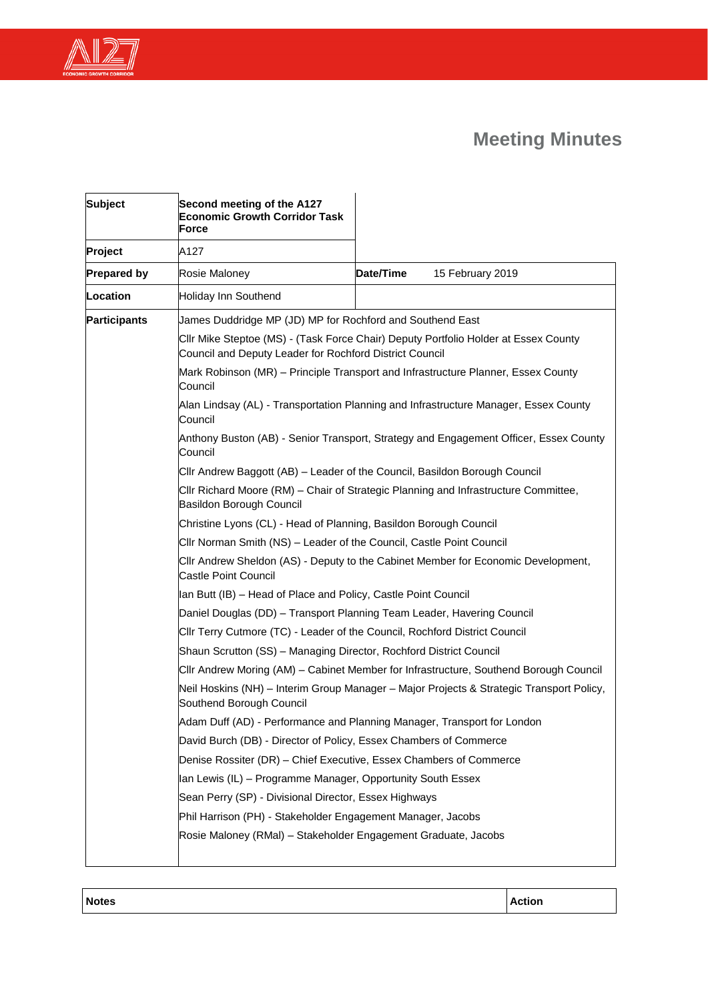



| <b>Subject</b>      | Second meeting of the A127<br><b>Economic Growth Corridor Task</b><br>Force                                                                    |                                                                         |                  |  |
|---------------------|------------------------------------------------------------------------------------------------------------------------------------------------|-------------------------------------------------------------------------|------------------|--|
| Project             | A127                                                                                                                                           |                                                                         |                  |  |
| <b>Prepared by</b>  | Rosie Maloney                                                                                                                                  | Date/Time                                                               | 15 February 2019 |  |
| Location            | Holiday Inn Southend                                                                                                                           |                                                                         |                  |  |
| <b>Participants</b> | James Duddridge MP (JD) MP for Rochford and Southend East                                                                                      |                                                                         |                  |  |
|                     | CIIr Mike Steptoe (MS) - (Task Force Chair) Deputy Portfolio Holder at Essex County<br>Council and Deputy Leader for Rochford District Council |                                                                         |                  |  |
|                     | Mark Robinson (MR) – Principle Transport and Infrastructure Planner, Essex County<br>Council                                                   |                                                                         |                  |  |
|                     | Alan Lindsay (AL) - Transportation Planning and Infrastructure Manager, Essex County<br>Council                                                |                                                                         |                  |  |
|                     | Anthony Buston (AB) - Senior Transport, Strategy and Engagement Officer, Essex County<br>Council                                               |                                                                         |                  |  |
|                     | CIIr Andrew Baggott (AB) - Leader of the Council, Basildon Borough Council                                                                     |                                                                         |                  |  |
|                     | CIIr Richard Moore (RM) - Chair of Strategic Planning and Infrastructure Committee,<br>Basildon Borough Council                                |                                                                         |                  |  |
|                     | Christine Lyons (CL) - Head of Planning, Basildon Borough Council                                                                              |                                                                         |                  |  |
|                     | Cllr Norman Smith (NS) - Leader of the Council, Castle Point Council                                                                           |                                                                         |                  |  |
|                     | CIIr Andrew Sheldon (AS) - Deputy to the Cabinet Member for Economic Development,<br><b>Castle Point Council</b>                               |                                                                         |                  |  |
|                     | Ian Butt (IB) - Head of Place and Policy, Castle Point Council                                                                                 |                                                                         |                  |  |
|                     | Daniel Douglas (DD) - Transport Planning Team Leader, Havering Council                                                                         |                                                                         |                  |  |
|                     | CIIr Terry Cutmore (TC) - Leader of the Council, Rochford District Council                                                                     |                                                                         |                  |  |
|                     | Shaun Scrutton (SS) - Managing Director, Rochford District Council                                                                             |                                                                         |                  |  |
|                     | CIIr Andrew Moring (AM) - Cabinet Member for Infrastructure, Southend Borough Council                                                          |                                                                         |                  |  |
|                     | Neil Hoskins (NH) - Interim Group Manager - Major Projects & Strategic Transport Policy,<br>Southend Borough Council                           |                                                                         |                  |  |
|                     |                                                                                                                                                | Adam Duff (AD) - Performance and Planning Manager, Transport for London |                  |  |
|                     | David Burch (DB) - Director of Policy, Essex Chambers of Commerce                                                                              |                                                                         |                  |  |
|                     | Denise Rossiter (DR) - Chief Executive, Essex Chambers of Commerce                                                                             |                                                                         |                  |  |
|                     | Ian Lewis (IL) – Programme Manager, Opportunity South Essex                                                                                    |                                                                         |                  |  |
|                     | Sean Perry (SP) - Divisional Director, Essex Highways                                                                                          |                                                                         |                  |  |
|                     | Phil Harrison (PH) - Stakeholder Engagement Manager, Jacobs                                                                                    |                                                                         |                  |  |
|                     | Rosie Maloney (RMal) - Stakeholder Engagement Graduate, Jacobs                                                                                 |                                                                         |                  |  |
|                     |                                                                                                                                                |                                                                         |                  |  |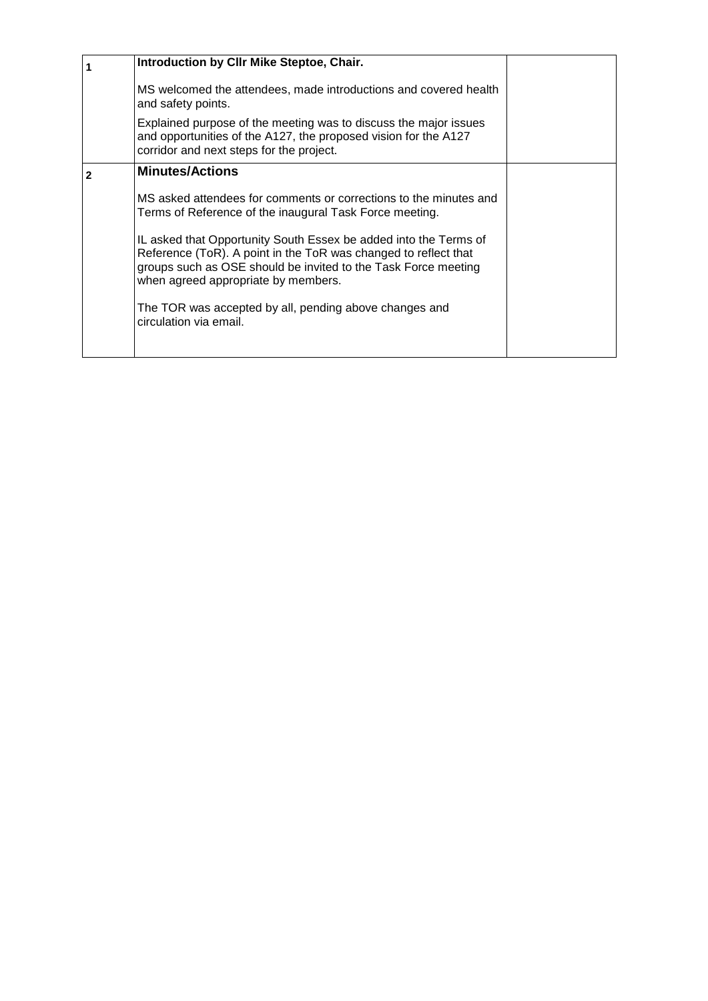| Introduction by CIIr Mike Steptoe, Chair.                                                                                                                                                                                                    |  |
|----------------------------------------------------------------------------------------------------------------------------------------------------------------------------------------------------------------------------------------------|--|
| MS welcomed the attendees, made introductions and covered health<br>and safety points.                                                                                                                                                       |  |
| Explained purpose of the meeting was to discuss the major issues<br>and opportunities of the A127, the proposed vision for the A127<br>corridor and next steps for the project.                                                              |  |
| <b>Minutes/Actions</b>                                                                                                                                                                                                                       |  |
| MS asked attendees for comments or corrections to the minutes and<br>Terms of Reference of the inaugural Task Force meeting.                                                                                                                 |  |
| IL asked that Opportunity South Essex be added into the Terms of<br>Reference (ToR). A point in the ToR was changed to reflect that<br>groups such as OSE should be invited to the Task Force meeting<br>when agreed appropriate by members. |  |
| The TOR was accepted by all, pending above changes and<br>circulation via email.                                                                                                                                                             |  |
|                                                                                                                                                                                                                                              |  |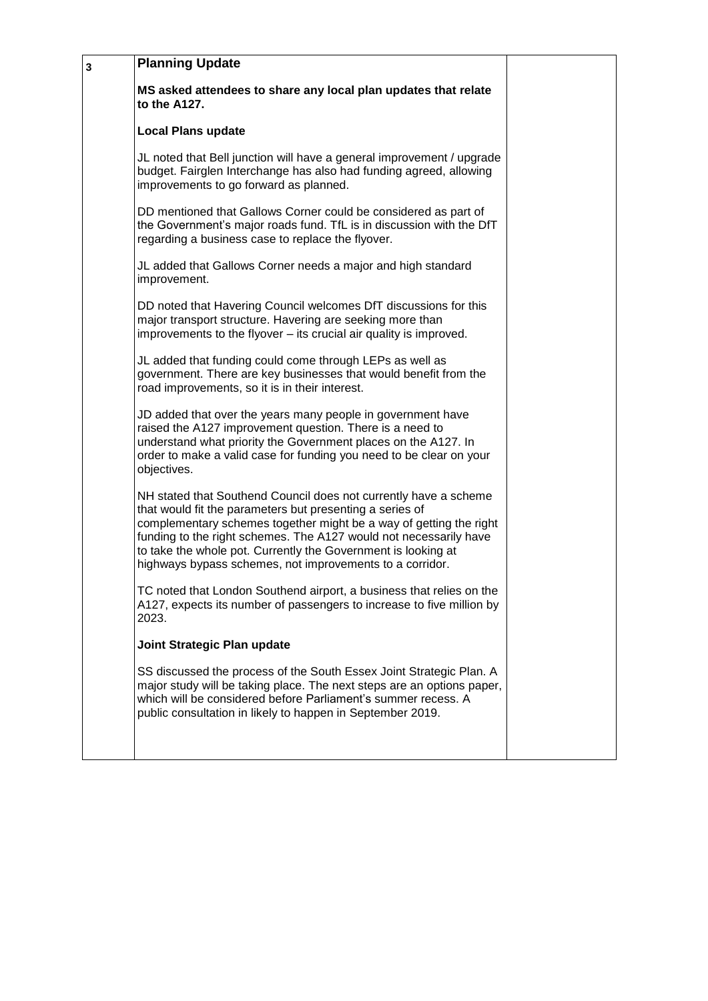| 3 | <b>Planning Update</b>                                                                                                                                                                                                                                                                                                                                                                               |  |
|---|------------------------------------------------------------------------------------------------------------------------------------------------------------------------------------------------------------------------------------------------------------------------------------------------------------------------------------------------------------------------------------------------------|--|
|   | MS asked attendees to share any local plan updates that relate<br>to the A127.                                                                                                                                                                                                                                                                                                                       |  |
|   | <b>Local Plans update</b>                                                                                                                                                                                                                                                                                                                                                                            |  |
|   | JL noted that Bell junction will have a general improvement / upgrade<br>budget. Fairglen Interchange has also had funding agreed, allowing<br>improvements to go forward as planned.                                                                                                                                                                                                                |  |
|   | DD mentioned that Gallows Corner could be considered as part of<br>the Government's major roads fund. TfL is in discussion with the DfT<br>regarding a business case to replace the flyover.                                                                                                                                                                                                         |  |
|   | JL added that Gallows Corner needs a major and high standard<br>improvement.                                                                                                                                                                                                                                                                                                                         |  |
|   | DD noted that Havering Council welcomes DfT discussions for this<br>major transport structure. Havering are seeking more than<br>improvements to the flyover – its crucial air quality is improved.                                                                                                                                                                                                  |  |
|   | JL added that funding could come through LEPs as well as<br>government. There are key businesses that would benefit from the<br>road improvements, so it is in their interest.                                                                                                                                                                                                                       |  |
|   | JD added that over the years many people in government have<br>raised the A127 improvement question. There is a need to<br>understand what priority the Government places on the A127. In<br>order to make a valid case for funding you need to be clear on your<br>objectives.                                                                                                                      |  |
|   | NH stated that Southend Council does not currently have a scheme<br>that would fit the parameters but presenting a series of<br>complementary schemes together might be a way of getting the right<br>funding to the right schemes. The A127 would not necessarily have<br>to take the whole pot. Currently the Government is looking at<br>highways bypass schemes, not improvements to a corridor. |  |
|   | TC noted that London Southend airport, a business that relies on the<br>A127, expects its number of passengers to increase to five million by<br>2023.                                                                                                                                                                                                                                               |  |
|   | Joint Strategic Plan update                                                                                                                                                                                                                                                                                                                                                                          |  |
|   | SS discussed the process of the South Essex Joint Strategic Plan. A<br>major study will be taking place. The next steps are an options paper,<br>which will be considered before Parliament's summer recess. A<br>public consultation in likely to happen in September 2019.                                                                                                                         |  |
|   |                                                                                                                                                                                                                                                                                                                                                                                                      |  |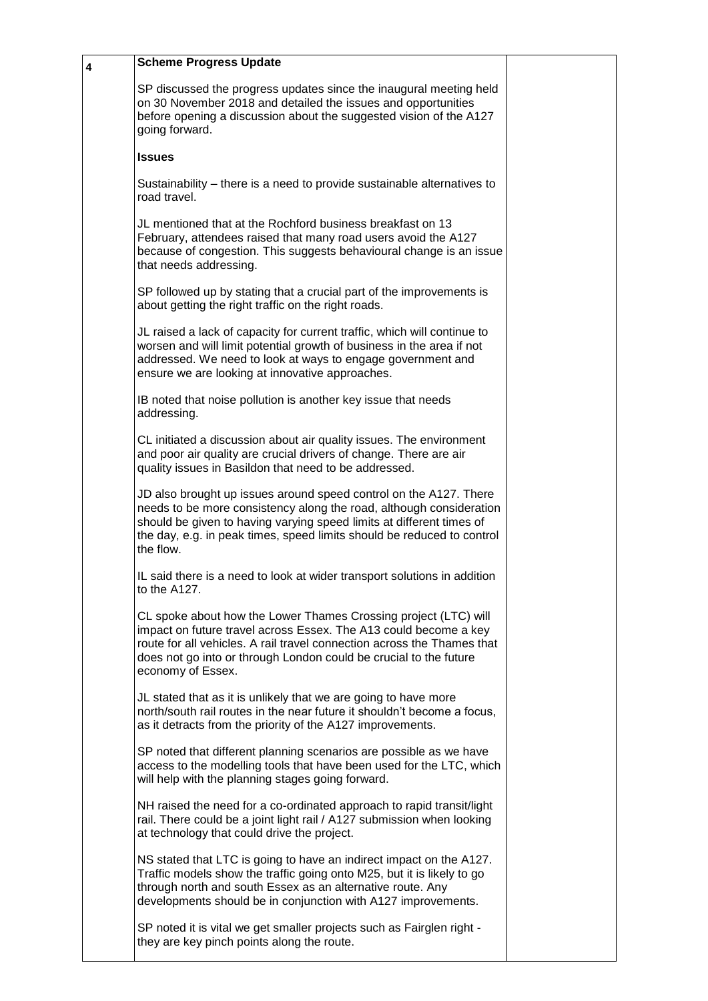| 4 | <b>Scheme Progress Update</b>                                                                                                                                                                                                                                                                            |  |
|---|----------------------------------------------------------------------------------------------------------------------------------------------------------------------------------------------------------------------------------------------------------------------------------------------------------|--|
|   | SP discussed the progress updates since the inaugural meeting held<br>on 30 November 2018 and detailed the issues and opportunities<br>before opening a discussion about the suggested vision of the A127<br>going forward.                                                                              |  |
|   | <b>Issues</b>                                                                                                                                                                                                                                                                                            |  |
|   | Sustainability – there is a need to provide sustainable alternatives to<br>road travel.                                                                                                                                                                                                                  |  |
|   | JL mentioned that at the Rochford business breakfast on 13<br>February, attendees raised that many road users avoid the A127<br>because of congestion. This suggests behavioural change is an issue<br>that needs addressing.                                                                            |  |
|   | SP followed up by stating that a crucial part of the improvements is<br>about getting the right traffic on the right roads.                                                                                                                                                                              |  |
|   | JL raised a lack of capacity for current traffic, which will continue to<br>worsen and will limit potential growth of business in the area if not<br>addressed. We need to look at ways to engage government and<br>ensure we are looking at innovative approaches.                                      |  |
|   | IB noted that noise pollution is another key issue that needs<br>addressing.                                                                                                                                                                                                                             |  |
|   | CL initiated a discussion about air quality issues. The environment<br>and poor air quality are crucial drivers of change. There are air<br>quality issues in Basildon that need to be addressed.                                                                                                        |  |
|   | JD also brought up issues around speed control on the A127. There<br>needs to be more consistency along the road, although consideration<br>should be given to having varying speed limits at different times of<br>the day, e.g. in peak times, speed limits should be reduced to control<br>the flow.  |  |
|   | IL said there is a need to look at wider transport solutions in addition<br>to the A127.                                                                                                                                                                                                                 |  |
|   | CL spoke about how the Lower Thames Crossing project (LTC) will<br>impact on future travel across Essex. The A13 could become a key<br>route for all vehicles. A rail travel connection across the Thames that<br>does not go into or through London could be crucial to the future<br>economy of Essex. |  |
|   | JL stated that as it is unlikely that we are going to have more<br>north/south rail routes in the near future it shouldn't become a focus,<br>as it detracts from the priority of the A127 improvements.                                                                                                 |  |
|   | SP noted that different planning scenarios are possible as we have<br>access to the modelling tools that have been used for the LTC, which<br>will help with the planning stages going forward.                                                                                                          |  |
|   | NH raised the need for a co-ordinated approach to rapid transit/light<br>rail. There could be a joint light rail / A127 submission when looking<br>at technology that could drive the project.                                                                                                           |  |
|   | NS stated that LTC is going to have an indirect impact on the A127.<br>Traffic models show the traffic going onto M25, but it is likely to go<br>through north and south Essex as an alternative route. Any<br>developments should be in conjunction with A127 improvements.                             |  |
|   | SP noted it is vital we get smaller projects such as Fairglen right -<br>they are key pinch points along the route.                                                                                                                                                                                      |  |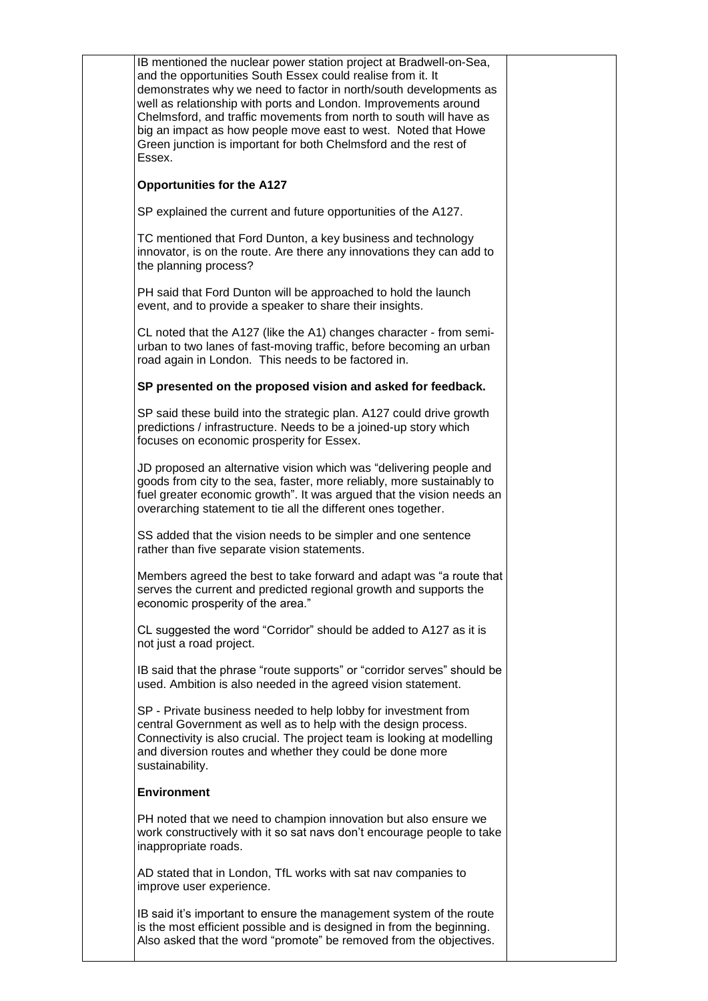| IB mentioned the nuclear power station project at Bradwell-on-Sea,<br>and the opportunities South Essex could realise from it. It<br>demonstrates why we need to factor in north/south developments as<br>well as relationship with ports and London. Improvements around<br>Chelmsford, and traffic movements from north to south will have as<br>big an impact as how people move east to west. Noted that Howe<br>Green junction is important for both Chelmsford and the rest of<br>Essex. |  |
|------------------------------------------------------------------------------------------------------------------------------------------------------------------------------------------------------------------------------------------------------------------------------------------------------------------------------------------------------------------------------------------------------------------------------------------------------------------------------------------------|--|
| <b>Opportunities for the A127</b>                                                                                                                                                                                                                                                                                                                                                                                                                                                              |  |
| SP explained the current and future opportunities of the A127.                                                                                                                                                                                                                                                                                                                                                                                                                                 |  |
| TC mentioned that Ford Dunton, a key business and technology<br>innovator, is on the route. Are there any innovations they can add to<br>the planning process?                                                                                                                                                                                                                                                                                                                                 |  |
| PH said that Ford Dunton will be approached to hold the launch<br>event, and to provide a speaker to share their insights.                                                                                                                                                                                                                                                                                                                                                                     |  |
| CL noted that the A127 (like the A1) changes character - from semi-<br>urban to two lanes of fast-moving traffic, before becoming an urban<br>road again in London. This needs to be factored in.                                                                                                                                                                                                                                                                                              |  |
| SP presented on the proposed vision and asked for feedback.                                                                                                                                                                                                                                                                                                                                                                                                                                    |  |
| SP said these build into the strategic plan. A127 could drive growth<br>predictions / infrastructure. Needs to be a joined-up story which<br>focuses on economic prosperity for Essex.                                                                                                                                                                                                                                                                                                         |  |
| JD proposed an alternative vision which was "delivering people and<br>goods from city to the sea, faster, more reliably, more sustainably to<br>fuel greater economic growth". It was argued that the vision needs an<br>overarching statement to tie all the different ones together.                                                                                                                                                                                                         |  |
| SS added that the vision needs to be simpler and one sentence<br>rather than five separate vision statements.                                                                                                                                                                                                                                                                                                                                                                                  |  |
| Members agreed the best to take forward and adapt was "a route that<br>serves the current and predicted regional growth and supports the<br>economic prosperity of the area."                                                                                                                                                                                                                                                                                                                  |  |
| CL suggested the word "Corridor" should be added to A127 as it is<br>not just a road project.                                                                                                                                                                                                                                                                                                                                                                                                  |  |
| IB said that the phrase "route supports" or "corridor serves" should be<br>used. Ambition is also needed in the agreed vision statement.                                                                                                                                                                                                                                                                                                                                                       |  |
| SP - Private business needed to help lobby for investment from<br>central Government as well as to help with the design process.<br>Connectivity is also crucial. The project team is looking at modelling<br>and diversion routes and whether they could be done more<br>sustainability.                                                                                                                                                                                                      |  |
| <b>Environment</b>                                                                                                                                                                                                                                                                                                                                                                                                                                                                             |  |
| PH noted that we need to champion innovation but also ensure we<br>work constructively with it so sat navs don't encourage people to take<br>inappropriate roads.                                                                                                                                                                                                                                                                                                                              |  |
| AD stated that in London, TfL works with sat nav companies to<br>improve user experience.                                                                                                                                                                                                                                                                                                                                                                                                      |  |
| IB said it's important to ensure the management system of the route<br>is the most efficient possible and is designed in from the beginning.<br>Also asked that the word "promote" be removed from the objectives.                                                                                                                                                                                                                                                                             |  |